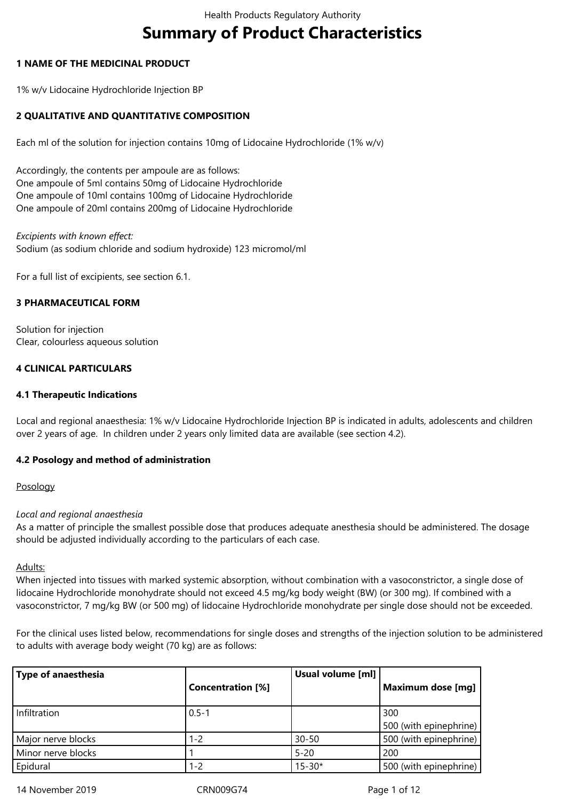# **Summary of Product Characteristics**

# **1 NAME OF THE MEDICINAL PRODUCT**

1% w/v Lidocaine Hydrochloride Injection BP

# **2 QUALITATIVE AND QUANTITATIVE COMPOSITION**

Each ml of the solution for injection contains 10mg of Lidocaine Hydrochloride (1% w/v)

Accordingly, the contents per ampoule are as follows: One ampoule of 5ml contains 50mg of Lidocaine Hydrochloride One ampoule of 10ml contains 100mg of Lidocaine Hydrochloride One ampoule of 20ml contains 200mg of Lidocaine Hydrochloride

*Excipients with known effect:* Sodium (as sodium chloride and sodium hydroxide) 123 micromol/ml

For a full list of excipients, see section 6.1.

## **3 PHARMACEUTICAL FORM**

Solution for injection Clear, colourless aqueous solution

# **4 CLINICAL PARTICULARS**

## **4.1 Therapeutic Indications**

Local and regional anaesthesia: 1% w/v Lidocaine Hydrochloride Injection BP is indicated in adults, adolescents and children over 2 years of age. In children under 2 years only limited data are available (see section 4.2).

## **4.2 Posology and method of administration**

## Posology

## *Local and regional anaesthesia*

As a matter of principle the smallest possible dose that produces adequate anesthesia should be administered. The dosage should be adjusted individually according to the particulars of each case.

Adults:

When injected into tissues with marked systemic absorption, without combination with a vasoconstrictor, a single dose of lidocaine Hydrochloride monohydrate should not exceed 4.5 mg/kg body weight (BW) (or 300 mg). If combined with a vasoconstrictor, 7 mg/kg BW (or 500 mg) of lidocaine Hydrochloride monohydrate per single dose should not be exceeded.

For the clinical uses listed below, recommendations for single doses and strengths of the injection solution to be administered to adults with average body weight (70 kg) are as follows:

| <b>Type of anaesthesia</b> | <b>Concentration [%]</b> | Usual volume [ml] | Maximum dose [mg]             |
|----------------------------|--------------------------|-------------------|-------------------------------|
| Infiltration               | $0.5 - 1$                |                   | 300<br>500 (with epinephrine) |
| Major nerve blocks         | $1 - 2$                  | $30 - 50$         | 500 (with epinephrine)        |
| Minor nerve blocks         |                          | $5 - 20$          | 200                           |
| Epidural                   | $1 - 2$                  | $15 - 30*$        | 500 (with epinephrine)        |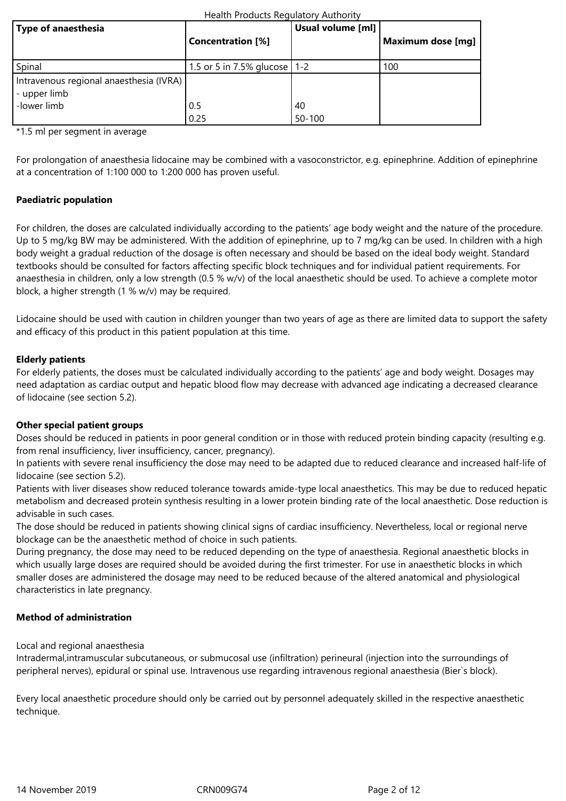#### Health Products Regulatory Authority

| Type of anaesthesia                                     | <b>Concentration</b> [%]       | Usual volume [ml] | Maximum dose [mg] |
|---------------------------------------------------------|--------------------------------|-------------------|-------------------|
| Spinal                                                  | 1.5 or 5 in 7.5% glucose   1-2 |                   | 100               |
| Intravenous regional anaesthesia (IVRA)<br>- upper limb |                                |                   |                   |
| -lower limb                                             | 0.5                            | 40                |                   |
|                                                         | 0.25                           | 50-100            |                   |

\*1.5 ml per segment in average

For prolongation of anaesthesia lidocaine may be combined with a vasoconstrictor, e.g. epinephrine. Addition of epinephrine at a concentration of 1:100 000 to 1:200 000 has proven useful.

# **Paediatric population**

For children, the doses are calculated individually according to the patients' age body weight and the nature of the procedure. Up to 5 mg/kg BW may be administered. With the addition of epinephrine, up to 7 mg/kg can be used. In children with a high body weight a gradual reduction of the dosage is often necessary and should be based on the ideal body weight. Standard textbooks should be consulted for factors affecting specific block techniques and for individual patient requirements. For anaesthesia in children, only a low strength (0.5 % w/v) of the local anaesthetic should be used. To achieve a complete motor block, a higher strength (1 % w/v) may be required.

Lidocaine should be used with caution in children younger than two years of age as there are limited data to support the safety and efficacy of this product in this patient population at this time.

## **Elderly patients**

For elderly patients, the doses must be calculated individually according to the patients' age and body weight. Dosages may need adaptation as cardiac output and hepatic blood flow may decrease with advanced age indicating a decreased clearance of lidocaine (see section 5.2).

## **Other special patient groups**

Doses should be reduced in patients in poor general condition or in those with reduced protein binding capacity (resulting e.g. from renal insufficiency, liver insufficiency, cancer, pregnancy).

In patients with severe renal insufficiency the dose may need to be adapted due to reduced clearance and increased half-life of lidocaine (see section 5.2).

Patients with liver diseases show reduced tolerance towards amide-type local anaesthetics. This may be due to reduced hepatic metabolism and decreased protein synthesis resulting in a lower protein binding rate of the local anaesthetic. Dose reduction is advisable in such cases.

The dose should be reduced in patients showing clinical signs of cardiac insufficiency. Nevertheless, local or regional nerve blockage can be the anaesthetic method of choice in such patients.

During pregnancy, the dose may need to be reduced depending on the type of anaesthesia. Regional anaesthetic blocks in which usually large doses are required should be avoided during the first trimester. For use in anaesthetic blocks in which smaller doses are administered the dosage may need to be reduced because of the altered anatomical and physiological characteristics in late pregnancy.

## **Method of administration**

Local and regional anaesthesia

Intradermal,intramuscular subcutaneous, or submucosal use (infiltration) perineural (injection into the surroundings of peripheral nerves), epidural or spinal use. Intravenous use regarding intravenous regional anaesthesia (Bier`s block).

Every local anaesthetic procedure should only be carried out by personnel adequately skilled in the respective anaesthetic technique.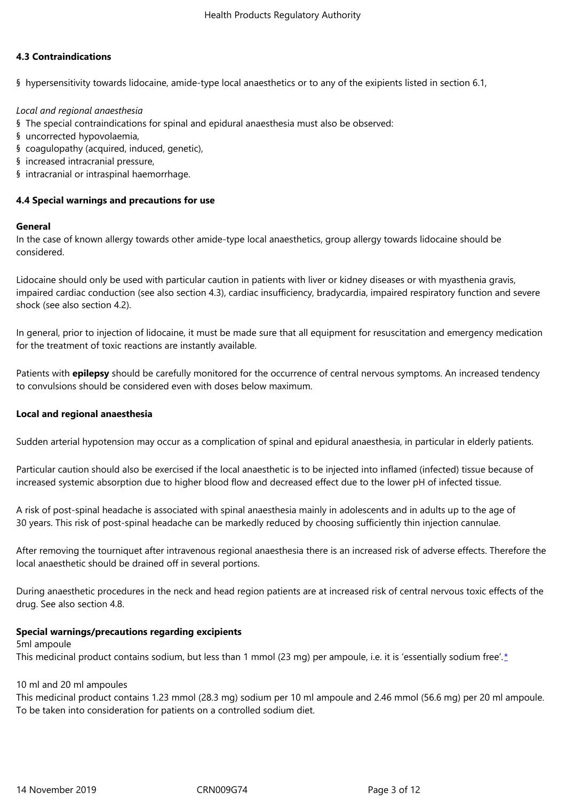## **4.3 Contraindications**

§ hypersensitivity towards lidocaine, amide-type local anaesthetics or to any of the exipients listed in section 6.1,

## *Local and regional anaesthesia*

- § The special contraindications for spinal and epidural anaesthesia must also be observed:
- § uncorrected hypovolaemia,
- § coagulopathy (acquired, induced, genetic),
- § increased intracranial pressure,
- § intracranial or intraspinal haemorrhage.

## **4.4 Special warnings and precautions for use**

#### **General**

In the case of known allergy towards other amide-type local anaesthetics, group allergy towards lidocaine should be considered.

Lidocaine should only be used with particular caution in patients with liver or kidney diseases or with myasthenia gravis, impaired cardiac conduction (see also section 4.3), cardiac insufficiency, bradycardia, impaired respiratory function and severe shock (see also section 4.2).

In general, prior to injection of lidocaine, it must be made sure that all equipment for resuscitation and emergency medication for the treatment of toxic reactions are instantly available.

Patients with **epilepsy** should be carefully monitored for the occurrence of central nervous symptoms. An increased tendency to convulsions should be considered even with doses below maximum.

## **Local and regional anaesthesia**

Sudden arterial hypotension may occur as a complication of spinal and epidural anaesthesia, in particular in elderly patients.

Particular caution should also be exercised if the local anaesthetic is to be injected into inflamed (infected) tissue because of increased systemic absorption due to higher blood flow and decreased effect due to the lower pH of infected tissue.

A risk of post-spinal headache is associated with spinal anaesthesia mainly in adolescents and in adults up to the age of 30 years. This risk of post-spinal headache can be markedly reduced by choosing sufficiently thin injection cannulae.

After removing the tourniquet after intravenous regional anaesthesia there is an increased risk of adverse effects. Therefore the local anaesthetic should be drained off in several portions.

During anaesthetic procedures in the neck and head region patients are at increased risk of central nervous toxic effects of the drug. See also section 4.8.

#### **Special warnings/precautions regarding excipients**

5ml ampoule This medicinal product contains sodium, but less than 1 mmol (23 mg) per ampoule, i.e. it is 'essentially sodium free'.\*

## 10 ml and 20 ml ampoules

This medicinal product contains 1.23 mmol (28.3 mg) sodium per 10 ml ampoule and 2.46 mmol (56.6 mg) per 20 ml [a](/cm/SitePages/spc_paragraph.aspx?crn=2123714&id=268597¶no=12&mode=update&AppType=251#_ftn1)mpoule. To be taken into consideration for patients on a controlled sodium diet.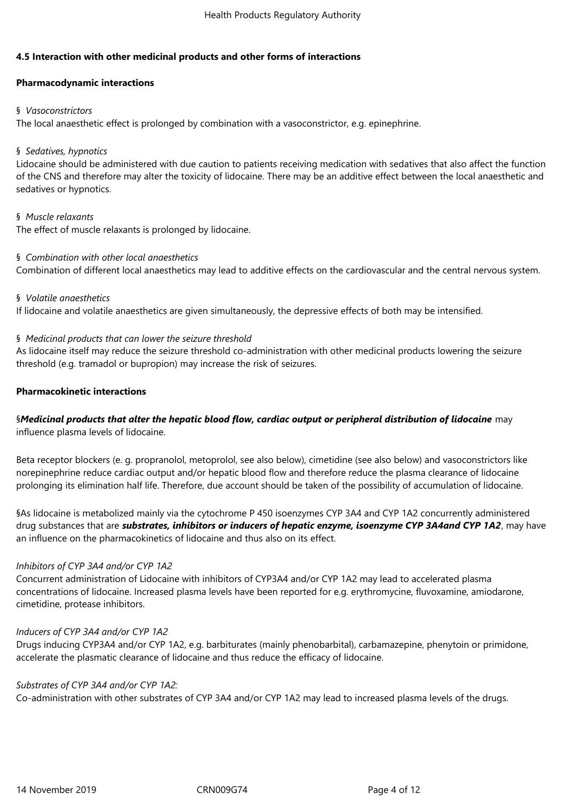# **4.5 Interaction with other medicinal products and other forms of interactions**

# **Pharmacodynamic interactions**

## § *Vasoconstrictors*

The local anaesthetic effect is prolonged by combination with a vasoconstrictor, e.g. epinephrine.

# § *Sedatives, hypnotics*

Lidocaine should be administered with due caution to patients receiving medication with sedatives that also affect the function of the CNS and therefore may alter the toxicity of lidocaine. There may be an additive effect between the local anaesthetic and sedatives or hypnotics.

# § *Muscle relaxants*

The effect of muscle relaxants is prolonged by lidocaine.

## § *Combination with other local anaesthetics*

Combination of different local anaesthetics may lead to additive effects on the cardiovascular and the central nervous system.

## § *Volatile anaesthetics*

If lidocaine and volatile anaesthetics are given simultaneously, the depressive effects of both may be intensified.

# § *Medicinal products that can lower the seizure threshold*

As lidocaine itself may reduce the seizure threshold co-administration with other medicinal products lowering the seizure threshold (e.g. tramadol or bupropion) may increase the risk of seizures.

# **Pharmacokinetic interactions**

# §*Medicinal products that alter the hepatic blood flow, cardiac output or peripheral distribution of lidocaine* may influence plasma levels of lidocaine.

Beta receptor blockers (e. g. propranolol, metoprolol, see also below), cimetidine (see also below) and vasoconstrictors like norepinephrine reduce cardiac output and/or hepatic blood flow and therefore reduce the plasma clearance of lidocaine prolonging its elimination half life. Therefore, due account should be taken of the possibility of accumulation of lidocaine.

§As lidocaine is metabolized mainly via the cytochrome P 450 isoenzymes CYP 3A4 and CYP 1A2 concurrently administered drug substances that are *substrates, inhibitors or inducers of hepatic enzyme, isoenzyme CYP 3A4and CYP 1A2*, may have an influence on the pharmacokinetics of lidocaine and thus also on its effect.

## *Inhibitors of CYP 3A4 and/or CYP 1A2*

Concurrent administration of Lidocaine with inhibitors of CYP3A4 and/or CYP 1A2 may lead to accelerated plasma concentrations of lidocaine. Increased plasma levels have been reported for e.g. erythromycine, fluvoxamine, amiodarone, cimetidine, protease inhibitors.

## *Inducers of CYP 3A4 and/or CYP 1A2*

Drugs inducing CYP3A4 and/or CYP 1A2, e.g. barbiturates (mainly phenobarbital), carbamazepine, phenytoin or primidone, accelerate the plasmatic clearance of lidocaine and thus reduce the efficacy of lidocaine.

# *Substrates of CYP 3A4 and/or CYP 1A2:*

Co-administration with other substrates of CYP 3A4 and/or CYP 1A2 may lead to increased plasma levels of the drugs.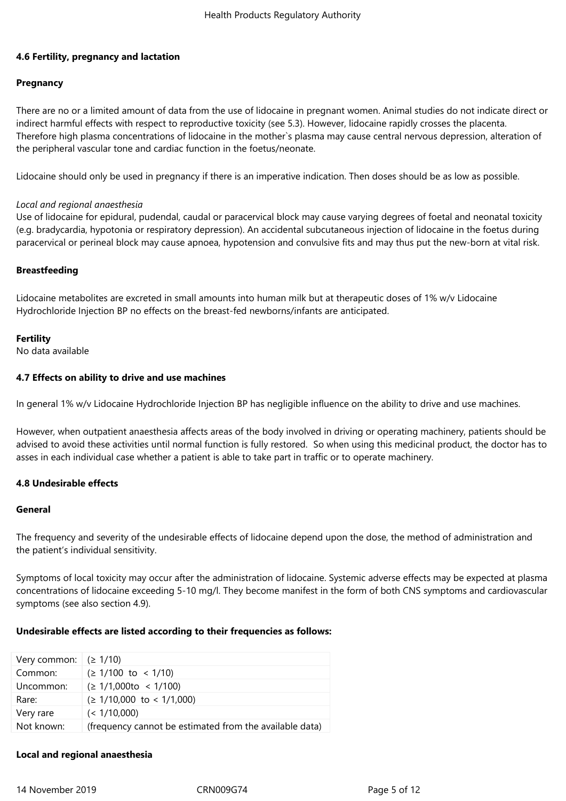## **4.6 Fertility, pregnancy and lactation**

## **Pregnancy**

There are no or a limited amount of data from the use of lidocaine in pregnant women. Animal studies do not indicate direct or indirect harmful effects with respect to reproductive toxicity (see 5.3). However, lidocaine rapidly crosses the placenta. Therefore high plasma concentrations of lidocaine in the mother`s plasma may cause central nervous depression, alteration of the peripheral vascular tone and cardiac function in the foetus/neonate.

Lidocaine should only be used in pregnancy if there is an imperative indication. Then doses should be as low as possible.

#### *Local and regional anaesthesia*

Use of lidocaine for epidural, pudendal, caudal or paracervical block may cause varying degrees of foetal and neonatal toxicity (e.g. bradycardia, hypotonia or respiratory depression). An accidental subcutaneous injection of lidocaine in the foetus during paracervical or perineal block may cause apnoea, hypotension and convulsive fits and may thus put the new-born at vital risk.

## **Breastfeeding**

Lidocaine metabolites are excreted in small amounts into human milk but at therapeutic doses of 1% w/v Lidocaine Hydrochloride Injection BP no effects on the breast-fed newborns/infants are anticipated.

## **Fertility**

No data available

## **4.7 Effects on ability to drive and use machines**

In general 1% w/v Lidocaine Hydrochloride Injection BP has negligible influence on the ability to drive and use machines.

However, when outpatient anaesthesia affects areas of the body involved in driving or operating machinery, patients should be advised to avoid these activities until normal function is fully restored. So when using this medicinal product, the doctor has to asses in each individual case whether a patient is able to take part in traffic or to operate machinery.

## **4.8 Undesirable effects**

#### **General**

The frequency and severity of the undesirable effects of lidocaine depend upon the dose, the method of administration and the patient's individual sensitivity.

Symptoms of local toxicity may occur after the administration of lidocaine. Systemic adverse effects may be expected at plasma concentrations of lidocaine exceeding 5-10 mg/l. They become manifest in the form of both CNS symptoms and cardiovascular symptoms (see also section 4.9).

## **Undesirable effects are listed according to their frequencies as follows:**

| Very common: | $( \geq 1/10 )$                                         |
|--------------|---------------------------------------------------------|
| Common:      | $( \geq 1/100$ to < 1/10)                               |
| Uncommon:    | $( \geq 1/1,000$ to < 1/100)                            |
| Rare:        | $( \geq 1/10,000 \text{ to} < 1/1,000)$                 |
| Very rare    | (< 1/10,000)                                            |
| Not known:   | (frequency cannot be estimated from the available data) |

#### **Local and regional anaesthesia**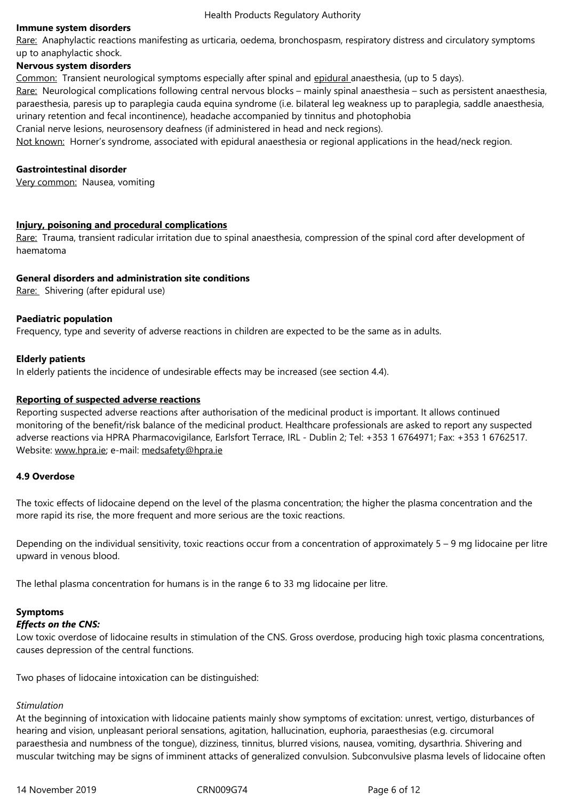up to anaphylactic shock.

#### **Nervous system disorders**

Common: Transient neurological symptoms especially after spinal and epidural anaesthesia, (up to 5 days). Rare: Neurological complications following central nervous blocks – mainly spinal anaesthesia – such as persistent anaesthesia, paraesthesia, paresis up to paraplegia cauda equina syndrome (i.e. bilateral leg weakness up to paraplegia, saddle anaesthesia, urinary retention and fecal incontinence), headache accompanied by tinnitus and photophobia Cranial nerve lesions, neurosensory deafness (if administered in head and neck regions).

Not known: Horner's syndrome, associated with epidural anaesthesia or regional applications in the head/neck region.

## **Gastrointestinal disorder**

Very common: Nausea, vomiting

#### **Injury, poisoning and procedural complications**

Rare: Trauma, transient radicular irritation due to spinal anaesthesia, compression of the spinal cord after development of haematoma

#### **[General disorders and administration site condi](/cm/SitePages/javascript%20:%20OpenTerm()tions**

Rare: Shivering (after epidural use)

#### **Paediatric population**

Frequency, type and severity of adverse reactions in children are expected to be the same as in adults.

#### **Elderly patients**

In elderly patients the incidence of undesirable effects may be increased (see section 4.4).

#### **Reporting of suspected adverse reactions**

Reporting suspected adverse reactions after authorisation of the medicinal product is important. It allows continued monitoring of the benefit/risk balance of the medicinal product. Healthcare professionals are asked to report any suspected adverse reactions via HPRA Pharmacovigilance, Earlsfort Terrace, IRL - Dublin 2; Tel: +353 1 6764971; Fax: +353 1 6762517. Website: www.hpra.ie; e-mail: medsafety@hpra.ie

#### **4.9 Overdose**

The toxic [effects of lid](http://www.hpra.ie/)ocaine [depend on the level](mailto:medsafety@hpra.ie) of the plasma concentration; the higher the plasma concentration and the more rapid its rise, the more frequent and more serious are the toxic reactions.

Depending on the individual sensitivity, toxic reactions occur from a concentration of approximately 5 – 9 mg lidocaine per litre upward in venous blood.

The lethal plasma concentration for humans is in the range 6 to 33 mg lidocaine per litre.

## **Symptoms**

#### *Effects on the CNS:*

Low toxic overdose of lidocaine results in stimulation of the CNS. Gross overdose, producing high toxic plasma concentrations, causes depression of the central functions.

Two phases of lidocaine intoxication can be distinguished:

## *Stimulation*

At the beginning of intoxication with lidocaine patients mainly show symptoms of excitation: unrest, vertigo, disturbances of hearing and vision, unpleasant perioral sensations, agitation, hallucination, euphoria, paraesthesias (e.g. circumoral paraesthesia and numbness of the tongue), dizziness, tinnitus, blurred visions, nausea, vomiting, dysarthria. Shivering and muscular twitching may be signs of imminent attacks of generalized convulsion. Subconvulsive plasma levels of lidocaine often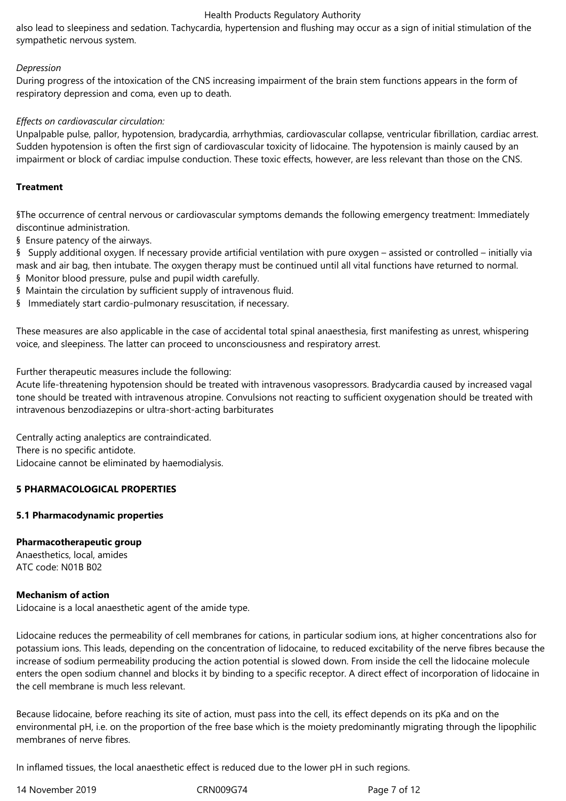## Health Products Regulatory Authority

also lead to sleepiness and sedation. Tachycardia, hypertension and flushing may occur as a sign of initial stimulation of the sympathetic nervous system.

## *Depression*

During progress of the intoxication of the CNS increasing impairment of the brain stem functions appears in the form of respiratory depression and coma, even up to death.

# *Effects on cardiovascular circulation:*

Unpalpable pulse, pallor, hypotension, bradycardia, arrhythmias, cardiovascular collapse, ventricular fibrillation, cardiac arrest. Sudden hypotension is often the first sign of cardiovascular toxicity of lidocaine. The hypotension is mainly caused by an impairment or block of cardiac impulse conduction. These toxic effects, however, are less relevant than those on the CNS.

# **Treatment**

§The occurrence of central nervous or cardiovascular symptoms demands the following emergency treatment: Immediately discontinue administration.

§ Ensure patency of the airways.

§ Supply additional oxygen. If necessary provide artificial ventilation with pure oxygen – assisted or controlled – initially via mask and air bag, then intubate. The oxygen therapy must be continued until all vital functions have returned to normal.

- § Monitor blood pressure, pulse and pupil width carefully.
- § Maintain the circulation by sufficient supply of intravenous fluid.
- § Immediately start cardio-pulmonary resuscitation, if necessary.

These measures are also applicable in the case of accidental total spinal anaesthesia, first manifesting as unrest, whispering voice, and sleepiness. The latter can proceed to unconsciousness and respiratory arrest.

Further therapeutic measures include the following:

Acute life-threatening hypotension should be treated with intravenous vasopressors. Bradycardia caused by increased vagal tone should be treated with intravenous atropine. Convulsions not reacting to sufficient oxygenation should be treated with intravenous benzodiazepins or ultra-short-acting barbiturates

Centrally acting analeptics are contraindicated. There is no specific antidote. Lidocaine cannot be eliminated by haemodialysis.

# **5 PHARMACOLOGICAL PROPERTIES**

## **5.1 Pharmacodynamic properties**

## **Pharmacotherapeutic group**

Anaesthetics, local, amides ATC code: N01B B02

## **Mechanism of action**

Lidocaine is a local anaesthetic agent of the amide type.

Lidocaine reduces the permeability of cell membranes for cations, in particular sodium ions, at higher concentrations also for potassium ions. This leads, depending on the concentration of lidocaine, to reduced excitability of the nerve fibres because the increase of sodium permeability producing the action potential is slowed down. From inside the cell the lidocaine molecule enters the open sodium channel and blocks it by binding to a specific receptor. A direct effect of incorporation of lidocaine in the cell membrane is much less relevant.

Because lidocaine, before reaching its site of action, must pass into the cell, its effect depends on its pKa and on the environmental pH, i.e. on the proportion of the free base which is the moiety predominantly migrating through the lipophilic membranes of nerve fibres.

In inflamed tissues, the local anaesthetic effect is reduced due to the lower pH in such regions.

14 November 2019 CRN009G74 Page 7 of 12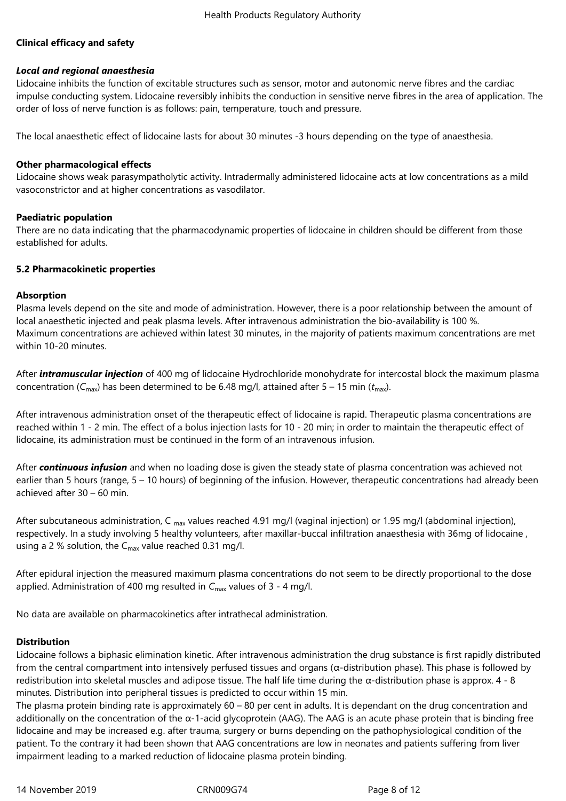# **Clinical efficacy and safety**

# *Local and regional anaesthesia*

Lidocaine inhibits the function of excitable structures such as sensor, motor and autonomic nerve fibres and the cardiac impulse conducting system. Lidocaine reversibly inhibits the conduction in sensitive nerve fibres in the area of application. The order of loss of nerve function is as follows: pain, temperature, touch and pressure.

The local anaesthetic effect of lidocaine lasts for about 30 minutes -3 hours depending on the type of anaesthesia.

## **Other pharmacological effects**

Lidocaine shows weak parasympatholytic activity. Intradermally administered lidocaine acts at low concentrations as a mild vasoconstrictor and at higher concentrations as vasodilator.

# **Paediatric population**

There are no data indicating that the pharmacodynamic properties of lidocaine in children should be different from those established for adults.

# **5.2 Pharmacokinetic properties**

# **Absorption**

Plasma levels depend on the site and mode of administration. However, there is a poor relationship between the amount of local anaesthetic injected and peak plasma levels. After intravenous administration the bio-availability is 100 %. Maximum concentrations are achieved within latest 30 minutes, in the majority of patients maximum concentrations are met within 10-20 minutes.

After *intramuscular injection* of 400 mg of lidocaine Hydrochloride monohydrate for intercostal block the maximum plasma concentration ( $C_{\text{max}}$ ) has been determined to be 6.48 mg/l, attained after 5 – 15 min ( $t_{\text{max}}$ ).

After intravenous administration onset of the therapeutic effect of lidocaine is rapid. Therapeutic plasma concentrations are reached within 1 ‑ 2 min. The effect of a bolus injection lasts for 10 ‑ 20 min; in order to maintain the therapeutic effect of lidocaine, its administration must be continued in the form of an intravenous infusion.

After *continuous infusion* and when no loading dose is given the steady state of plasma concentration was achieved not earlier than 5 hours (range, 5 – 10 hours) of beginning of the infusion. However, therapeutic concentrations had already been achieved after 30 – 60 min.

After subcutaneous administration, C  $_{max}$  values reached 4.91 mg/l (vaginal injection) or 1.95 mg/l (abdominal injection), respectively. In a study involving 5 healthy volunteers, after maxillar-buccal infiltration anaesthesia with 36mg of lidocaine , using a 2 % solution, the  $C_{\text{max}}$  value reached 0.31 mg/l.

After epidural injection the measured maximum plasma concentrations do not seem to be directly proportional to the dose applied. Administration of 400 mg resulted in C<sub>max</sub> values of 3 - 4 mg/l.

No data are available on pharmacokinetics after intrathecal administration.

# **Distribution**

Lidocaine follows a biphasic elimination kinetic. After intravenous administration the drug substance is first rapidly distributed from the central compartment into intensively perfused tissues and organs (α-distribution phase). This phase is followed by redistribution into skeletal muscles and adipose tissue. The half life time during the α-distribution phase is approx. 4 - 8 minutes. Distribution into peripheral tissues is predicted to occur within 15 min.

The plasma protein binding rate is approximately  $60 - 80$  per cent in adults. It is dependant on the drug concentration and additionally on the concentration of the  $\alpha$ -1-acid glycoprotein (AAG). The AAG is an acute phase protein that is binding free lidocaine and may be increased e.g. after trauma, surgery or burns depending on the pathophysiological condition of the patient. To the contrary it had been shown that AAG concentrations are low in neonates and patients suffering from liver impairment leading to a marked reduction of lidocaine plasma protein binding.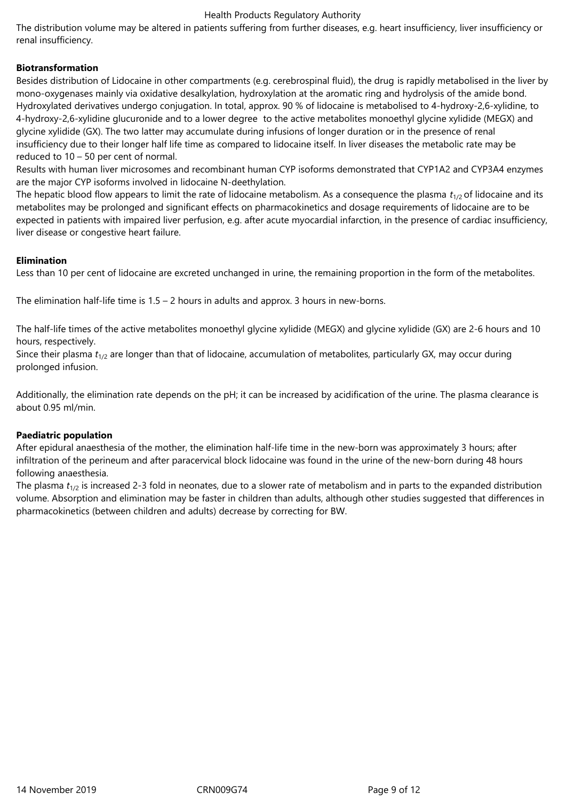## Health Products Regulatory Authority

The distribution volume may be altered in patients suffering from further diseases, e.g. heart insufficiency, liver insufficiency or renal insufficiency.

# **Biotransformation**

Besides distribution of Lidocaine in other compartments (e.g. cerebrospinal fluid), the drug is rapidly metabolised in the liver by mono-oxygenases mainly via oxidative desalkylation, hydroxylation at the aromatic ring and hydrolysis of the amide bond. Hydroxylated derivatives undergo conjugation. In total, approx. 90 % of lidocaine is metabolised to 4-hydroxy-2,6-xylidine, to 4-hydroxy-2,6-xylidine glucuronide and to a lower degree to the active metabolites monoethyl glycine xylidide (MEGX) and glycine xylidide (GX). The two latter may accumulate during infusions of longer duration or in the presence of renal insufficiency due to their longer half life time as compared to lidocaine itself. In liver diseases the metabolic rate may be reduced to 10 – 50 per cent of normal.

Results with human liver microsomes and recombinant human CYP isoforms demonstrated that CYP1A2 and CYP3A4 enzymes are the major CYP isoforms involved in lidocaine N-deethylation.

The hepatic blood flow appears to limit the rate of lidocaine metabolism. As a consequence the plasma  $t_{1/2}$  of lidocaine and its metabolites may be prolonged and significant effects on pharmacokinetics and dosage requirements of lidocaine are to be expected in patients with impaired liver perfusion, e.g. after acute myocardial infarction, in the presence of cardiac insufficiency, liver disease or congestive heart failure.

## **Elimination**

Less than 10 per cent of lidocaine are excreted unchanged in urine, the remaining proportion in the form of the metabolites.

The elimination half-life time is  $1.5 - 2$  hours in adults and approx. 3 hours in new-borns.

The half-life times of the active metabolites monoethyl glycine xylidide (MEGX) and glycine xylidide (GX) are 2-6 hours and 10 hours, respectively.

Since their plasma  $t_{1/2}$  are longer than that of lidocaine, accumulation of metabolites, particularly GX, may occur during prolonged infusion.

Additionally, the elimination rate depends on the pH; it can be increased by acidification of the urine. The plasma clearance is about 0.95 ml/min.

# **Paediatric population**

After epidural anaesthesia of the mother, the elimination half-life time in the new-born was approximately 3 hours; after infiltration of the perineum and after paracervical block lidocaine was found in the urine of the new-born during 48 hours following anaesthesia.

The plasma  $t_{1/2}$  is increased 2-3 fold in neonates, due to a slower rate of metabolism and in parts to the expanded distribution volume. Absorption and elimination may be faster in children than adults, although other studies suggested that differences in pharmacokinetics (between children and adults) decrease by correcting for BW.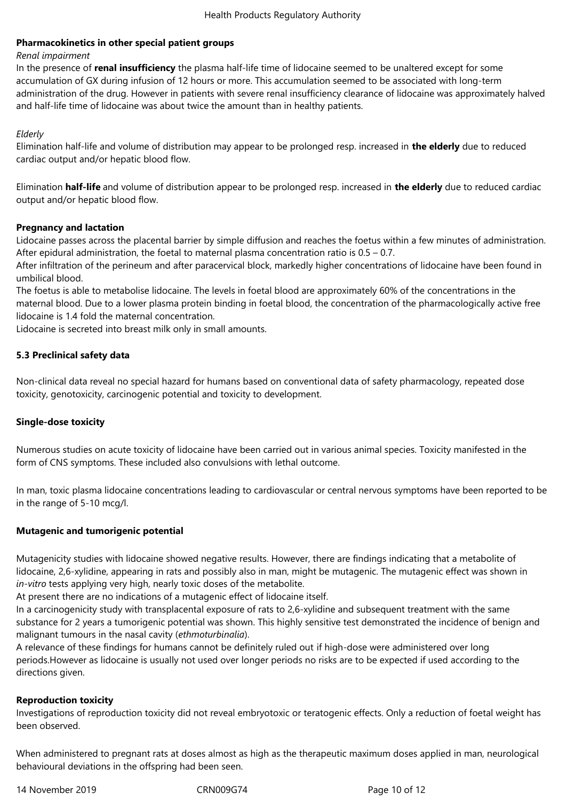# **Pharmacokinetics in other special patient groups**

## *Renal impairment*

In the presence of **renal insufficiency** the plasma half-life time of lidocaine seemed to be unaltered except for some accumulation of GX during infusion of 12 hours or more. This accumulation seemed to be associated with long-term administration of the drug. However in patients with severe renal insufficiency clearance of lidocaine was approximately halved and half-life time of lidocaine was about twice the amount than in healthy patients.

*Elderly*

Elimination half-life and volume of distribution may appear to be prolonged resp. increased in **the elderly** due to reduced cardiac output and/or hepatic blood flow.

Elimination **half-life** and volume of distribution appear to be prolonged resp. increased in **the elderly** due to reduced cardiac output and/or hepatic blood flow.

# **Pregnancy and lactation**

Lidocaine passes across the placental barrier by simple diffusion and reaches the foetus within a few minutes of administration. After epidural administration, the foetal to maternal plasma concentration ratio is 0.5 – 0.7.

After infiltration of the perineum and after paracervical block, markedly higher concentrations of lidocaine have been found in umbilical blood.

The foetus is able to metabolise lidocaine. The levels in foetal blood are approximately 60% of the concentrations in the maternal blood. Due to a lower plasma protein binding in foetal blood, the concentration of the pharmacologically active free lidocaine is 1.4 fold the maternal concentration.

Lidocaine is secreted into breast milk only in small amounts.

# **5.3 Preclinical safety data**

Non-clinical data reveal no special hazard for humans based on conventional data of safety pharmacology, repeated dose toxicity, genotoxicity, carcinogenic potential and toxicity to development.

## **Single-dose toxicity**

Numerous studies on acute toxicity of lidocaine have been carried out in various animal species. Toxicity manifested in the form of CNS symptoms. These included also convulsions with lethal outcome.

In man, toxic plasma lidocaine concentrations leading to cardiovascular or central nervous symptoms have been reported to be in the range of 5-10 mcg/l.

## **Mutagenic and tumorigenic potential**

Mutagenicity studies with lidocaine showed negative results. However, there are findings indicating that a metabolite of lidocaine, 2,6-xylidine, appearing in rats and possibly also in man, might be mutagenic. The mutagenic effect was shown in *in-vitro* tests applying very high, nearly toxic doses of the metabolite.

At present there are no indications of a mutagenic effect of lidocaine itself.

In a carcinogenicity study with transplacental exposure of rats to 2,6-xylidine and subsequent treatment with the same substance for 2 years a tumorigenic potential was shown. This highly sensitive test demonstrated the incidence of benign and malignant tumours in the nasal cavity (*ethmoturbinalia*).

A relevance of these findings for humans cannot be definitely ruled out if high-dose were administered over long periods.However as lidocaine is usually not used over longer periods no risks are to be expected if used according to the directions given.

## **Reproduction toxicity**

Investigations of reproduction toxicity did not reveal embryotoxic or teratogenic effects. Only a reduction of foetal weight has been observed.

When administered to pregnant rats at doses almost as high as the therapeutic maximum doses applied in man, neurological behavioural deviations in the offspring had been seen.

14 November 2019 CRN009G74 Page 10 of 12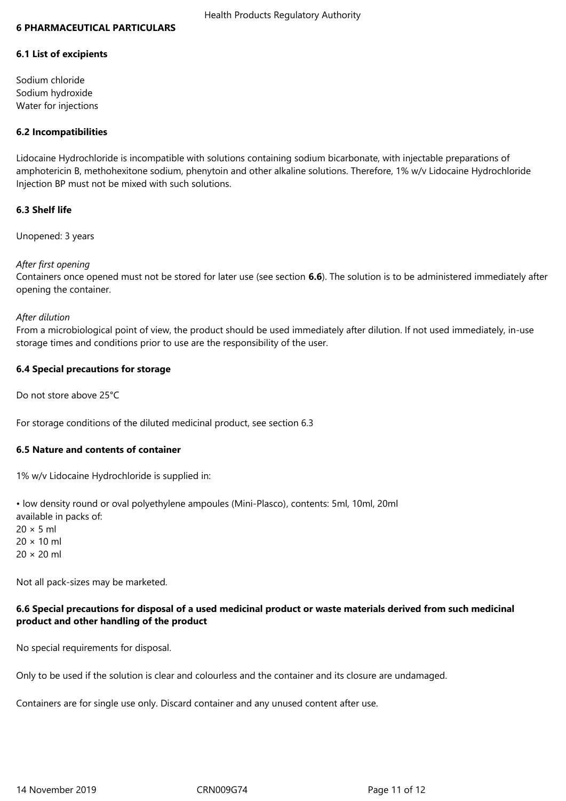#### **6 PHARMACEUTICAL PARTICULARS**

#### **6.1 List of excipients**

Sodium chloride Sodium hydroxide Water for injections

## **6.2 Incompatibilities**

Lidocaine Hydrochloride is incompatible with solutions containing sodium bicarbonate, with injectable preparations of amphotericin B, methohexitone sodium, phenytoin and other alkaline solutions. Therefore, 1% w/v Lidocaine Hydrochloride Injection BP must not be mixed with such solutions.

## **6.3 Shelf life**

Unopened: 3 years

## *After first opening*

Containers once opened must not be stored for later use (see section **6.6**). The solution is to be administered immediately after opening the container.

#### *After dilution*

From a microbiological point of view, the product should be used immediately after dilution. If not used immediately, in-use storage times and conditions prior to use are the responsibility of the user.

## **6.4 Special precautions for storage**

Do not store above 25°C

For storage conditions of the diluted medicinal product, see section 6.3

## **6.5 Nature and contents of container**

1% w/v Lidocaine Hydrochloride is supplied in:

• low density round or oval polyethylene ampoules (Mini-Plasco), contents: 5ml, 10ml, 20ml available in packs of:  $20 \times 5$  ml  $20 \times 10$  ml 20 × 20 ml

Not all pack-sizes may be marketed.

# **6.6 Special precautions for disposal of a used medicinal product or waste materials derived from such medicinal product and other handling of the product**

No special requirements for disposal.

Only to be used if the solution is clear and colourless and the container and its closure are undamaged.

Containers are for single use only. Discard container and any unused content after use.